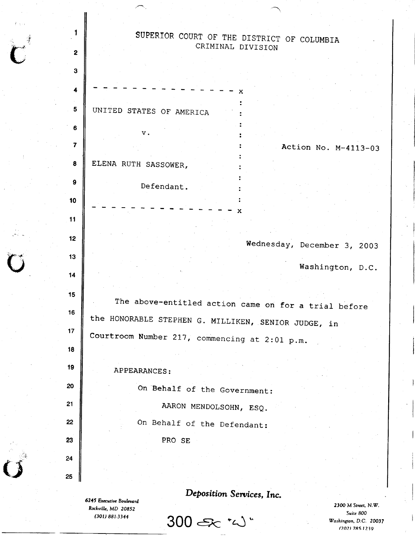1 SUPERIOR COURT OF THE DISTRICT OF COLUMBIA  $\overline{\mathbf{C}}$ CRIMINAL DIVISION 2 3 4 x UNTTED STATES OF AMERICA 5 6  $\mathbf v$ . 7 Action No. M-4113-03 ELENA RUTH SASSOWER, 8 9 Defendant. 10  $\ddot{\cdot}$ x 11 12 Wednesday, December 3, 2OO3 13 Washington, D.C. 14 15 The above-entitled action came on for a trial before 16 the HONORABLE STEPHEN G. MILLIKEN, SENIOR JUDGE, in 't7 Courtroom Number 217, commencing at 2:01 p.m. 18 19 APPEARANCES: 20 On Behalf of the Government: 21 AARON MENDOLSOHN, ESQ. On Behalf of the Defendant: 22 23 PRO SE 24 25 Deposition Services, Inc. 6245 Executive Boulevard 2300 M Street, N.W.

 $300$   $\epsilon$   $\sim$  " $\omega$ "

 $\overline{\phantom{0}}$ 

Rockville, MD 20852 (30t) 881.3344

 $\zeta$ 

Suite 800 Vashiryton, D.C. 20037 (202) 785.1239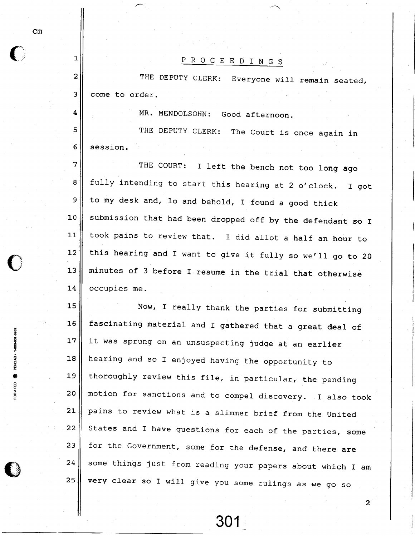| $\mathbf{1}$     | P R O C E E D I N G S                                          |
|------------------|----------------------------------------------------------------|
| $\boldsymbol{2}$ | THE DEPUTY CLERK:<br>Everyone will remain seated,              |
| 3                | come to order.                                                 |
| 4                | MR. MENDOLSOHN: Good afternoon.                                |
| 5                | THE DEPUTY CLERK: The Court is once again in                   |
| 6                | session.                                                       |
| 7                | THE COURT: I left the bench not too long ago                   |
| 8                | fully intending to start this hearing at 2 o'clock.<br>$I$ qot |
| 9                | to my desk and, lo and behold, I found a good thick            |
| 10               | submission that had been dropped off by the defendant so I     |
| 11               | took pains to review that. I did allot a half an hour to       |
| 12               | this hearing and I want to give it fully so we'll go to 20     |
| 13               | minutes of 3 before I resume in the trial that otherwise       |
| 14               | occupies me.                                                   |
| 15               | Now, I really thank the parties for submitting                 |
| 16               | fascinating material and I gathered that a great deal of       |
| 17               | it was sprung on an unsuspecting judge at an earlier           |
| 18               | hearing and so I enjoyed having the opportunity to             |
| 19               | thoroughly review this file, in particular, the pending        |
| 20               | motion for sanctions and to compel discovery. I also took      |
| 21               | pains to review what is a slimmer brief from the United        |
| 22               | States and I have questions for each of the parties, some      |
| 23               | for the Government, some for the defense, and there are        |
| 24               | some things just from reading your papers about which I am     |
| 25               | very clear so I will give you some rulings as we go so         |
|                  | $\overline{2}$                                                 |
|                  |                                                                |

cm

 $\bullet$ 

I a A6 I z U c e o

E

E)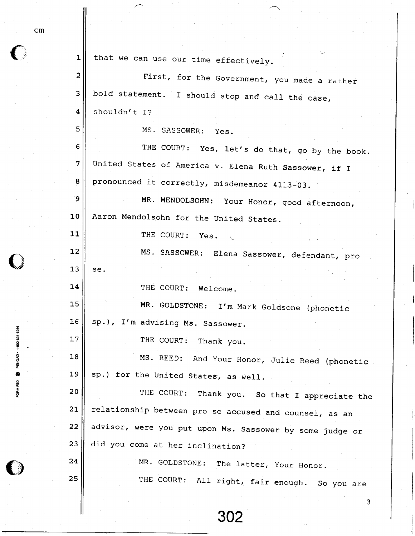| 1                       | that we can use our time effectively.                    |
|-------------------------|----------------------------------------------------------|
| $\overline{\mathbf{c}}$ | First, for the Government, you made a rather             |
| 3                       | bold statement. I should stop and call the case,         |
| $\overline{\mathbf{4}}$ | shouldn't I?                                             |
| 5                       | MS. SASSOWER: Yes.                                       |
| 6                       | THE COURT: Yes, let's do that, go by the book.           |
| 7                       | United States of America v. Elena Ruth Sassower, if I    |
| 8                       | pronounced it correctly, misdemeanor 4113-03.            |
| $\mathbf 9$             | MR. MENDOLSOHN: Your Honor, good afternoon,              |
| 10                      | Aaron Mendolsohn for the United States.                  |
| 11                      | THE COURT: Yes.                                          |
| 12                      | MS. SASSOWER: Elena Sassower, defendant, pro             |
| 13                      | se.                                                      |
| 14                      | THE COURT: Welcome.                                      |
| 15                      | MR. GOLDSTONE: I'm Mark Goldsone (phonetic               |
| 16                      | sp.), I'm advising Ms. Sassower.                         |
| 17                      | THE COURT:<br>Thank you.                                 |
| 18                      | MS. REED: And Your Honor, Julie Reed (phonetic           |
| 19                      | sp.) for the United States, as well.                     |
| 20                      | THE COURT:<br>Thank you. So that I appreciate the        |
| 21                      | relationship between pro se accused and counsel, as an   |
| 22                      | advisor, were you put upon Ms. Sassower by some judge or |
| 23                      | did you come at her inclination?                         |
| 24                      | MR. GOLDSTONE: The latter, Your Honor.                   |
| 25                      | THE COURT: All right, fair enough. So you are            |
|                         | з                                                        |

cm

 $\textcolor{red}{\bullet}$ 

; ? o z o o

o

 $\bigcirc$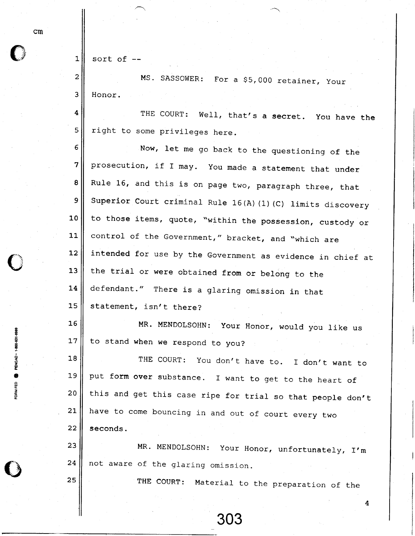| 1 | sort of |  |
|---|---------|--|
|---|---------|--|

3

MS. SASSOWER: For a \$5,000 retainer, your Honor.

4 5 THE COURT: Well, that's a secret. You have the right to some privileges here.

6 7 8 9 1 0 11 L2 13 I4 l\_5 Now, 1et me go back to the questioning of the prosecution, if I may. You made a statement that under Rule L6, and this is on page two, paragraph three, that Superior Court criminal Rule 16(A) (1) (C) limits discovery to those items, quote, "within the possession, custody or control of the Government," bracket, and "which are intended for use by the Government as evidence in chief at the trial or were obtained from or belong to the defendant." There is a glaring omission in that statement, isn't there?

16 17 MR. MENDOLSOHN: to stand when we respond to you? Your Honor, would you like us

1 8 1 9 2 0 21  $22 \overline{ }$ THE COURT: You don't have to. I don't want to put form over substance. I want to get to the heart of this and get this case ripe for trial so that people don't have to come bouncing in and out of court every two seeonds.

23 24 MR. MENDOLSOHN: Your Honor, unfortunately, I'm not aware of the glaring omission.

303

THE CoURT: Material to the preparation of the

4

cm

25

g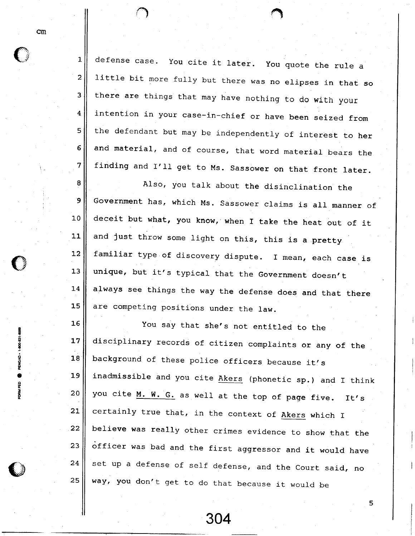defense case. You cite it later. You quote the rule a little bit more fully but there was no elipses in that so there are things that may have nothing to do with your intention in your case-in-chief or have been seized from the defendant but may be independently of interest to her and material, and of course, that word material bears the finding and I'll get to Ms. Sassower on that front later.

8 9 1 0 1\_1  $12$ 13 **14** 1 5 Also, you talk about the disinclination the Government has, which Ms. Sassower claims is all manner of deceit but what, you know, when I take the heat out of it and just throw some light on this, this is a pretty familiar type of discovery dispute. I mean, each case is unique, but it's typical that the Government doesn't always see things the way the defense does and that there are competing positions under the law.

1 6 17 1 8 19 2 0 21 22 23 24 25 You say that she's not entitled to the disciplinary records of citizen complaints or any of the background of these police officers because it's inadmissible and you cite Akers (phonetic sp.) and I think you cite M. W. G. as well at the top of page five. It's certainly true that, in the context of Akers which I believe was really other crimes evidence to show that the officer was bad and the first aggressor and it would have set up a defense of self defense, and the Court said, no way, you don't get to do that because it would be

304

5

l-

 $\bigcap$ 

2

3

4

5

6

7

t I i  $500 - 1$ 

**PENGAD.** 

e og = 5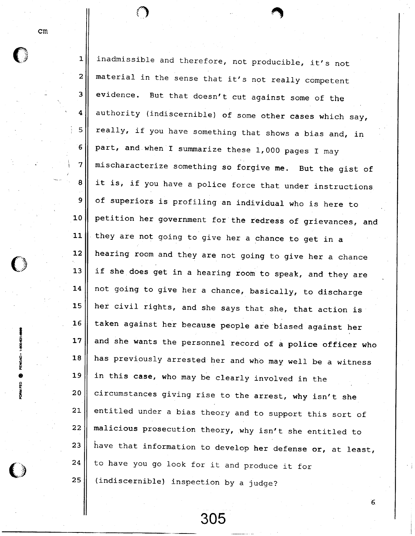cm

0

t I 6  $\sum_{i=1}^{\infty}$ 

**i**<br>Financial

0

t E o

1 2 3 4 5 6 7 8 9 1 0  $-11$ **12** 13 L4 15 16 **17** 1 8 19 2 0 2 L 22 23 24 2 5 inadmissible and therefore, not producible, it's not material in the sense that it's not really competent evidence. But that doesn't cut against some of the authority (indiscernible) of some other cases which say, really, if you have something that shows a bias and, in part, and when I summarize these 1,000 pages I may mischaracterize something so forgive me. But the gist of it is, if you have a police force that under instructions of superiors is profiling an individual who is here to petition her government for the redress of grievances, and they are not going to give her a chance to get in a hearing room and they are not going to give her a chance if she does get in a hearing room to speak, and they are not going to give her a chance, basically, to discharge her civil rights, and she says that she, that action is taken against her because people are biased against her and she wants the personnel record of a police officer who has previously arrested her and who may well be a witness in this case, who may be clearly involved in the circumstances giving rise to the arrest, why isn't she entitled under a bias theory and to support this sort of malicious prosecution theory, why isn't she entitled to have that information to develop her defense or, at least, to have you go look for it and produce it for (indiscernible) inspection by a judge?

305

 $6<sub>o</sub>$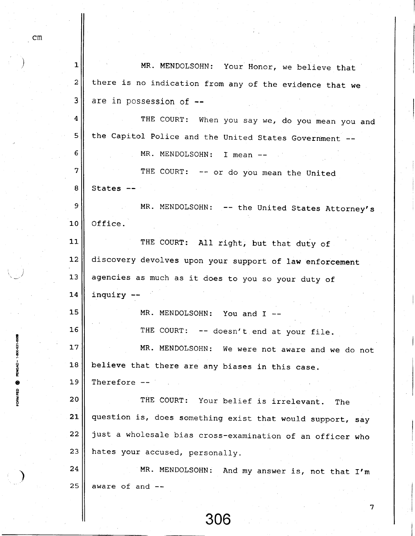| 1              |                                                           |
|----------------|-----------------------------------------------------------|
|                | MR. MENDOLSOHN: Your Honor, we believe that               |
| $\overline{c}$ | there is no indication from any of the evidence that we   |
| 3              | are in possession of --                                   |
| 4              | THE COURT: When you say we, do you mean you and           |
| 5              | the Capitol Police and the United States Government       |
| 6              | MR. MENDOLSOHN: I mean                                    |
| 7              | THE COURT: -- or do you mean the United                   |
| 8              | States                                                    |
| 9              | MR. MENDOLSOHN: -- the United States Attorney's           |
| 10             | Office.                                                   |
| 11             | THE COURT: All right, but that duty of                    |
| 12             | discovery devolves upon your support of law enforcement   |
| 13             | agencies as much as it does to you so your duty of        |
| 14             | inquiry -                                                 |
| 15             | MR. MENDOLSOHN: You and I --                              |
| 16             | THE COURT: -- doesn't end at your file.                   |
| 17             | MR. MENDOLSOHN: We were not aware and we do not           |
| 18             | believe that there are any biases in this case.           |
| 19             | Therefore --                                              |
| 20             | THE COURT: Your belief is irrelevant.<br>The              |
| 21             | question is, does something exist that would support, say |
| 22             | just a wholesale bias cross-examination of an officer who |
| 23             | hates your accused, personally.                           |
| 24             | MR. MENDOLSOHN: And my answer is, not that I'm            |
| 25             | aware of and --                                           |
|                | 7                                                         |

cm

t s 5

5

I t o o U t o

)

 $\parallel$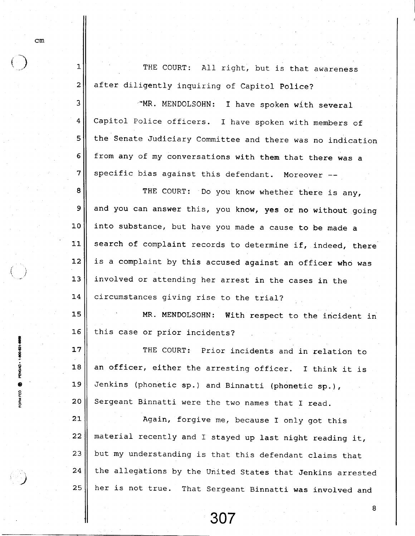2 THE COURT: All right, but is that awareness after diligently inquiring of Capitol Police?

J 4 5 6 7 \*MR. MENDOLSOHN: I have spoken with several Capitol Police officers. I have spoken with members of the Senate Judiciary Committee and there was no indication from any of my conversations with them that there was a specific bias against this defendant. Moreover --

8 9 1 0 11  $12$ 1 3  $14$ THE COURT: Do you know whether there is any, and you can answer this, you know, yes or no without going into substance, but have you made a cause to be made a search of complaint records to determine if, indeed, there is a complaint by this accused against an officer who was involved or attending her arrest in the cases in the circumstances giving rise to the trial?

15 16 MR. MENDOLSOHN: With respect to the incident in this case or prior incidents?

17 1 8 l\_9 2 0 THE COURT: Prior incidents and in relation to an officer, either the arresting officer. I think it is Jenkins (phonetic sp.) and Binnatti (phonetic sp.), Sergeant Binnatti were the two names that I read.

 $21$  $22$ 23 24 25 Again, forgive me, because I only got this material recently and I stayed up last night reading it, but my understanding is that this defendant claims that the allegations by the United States that Jenkins arrested her is not true. That sergeant Binnatti was involved and

307

8

cm

1

 $\bigodot$ 

 $\left( \begin{array}{c} \cdot \end{array} \right)$ 

t ? F ē.

? 9u e

ORM FED

)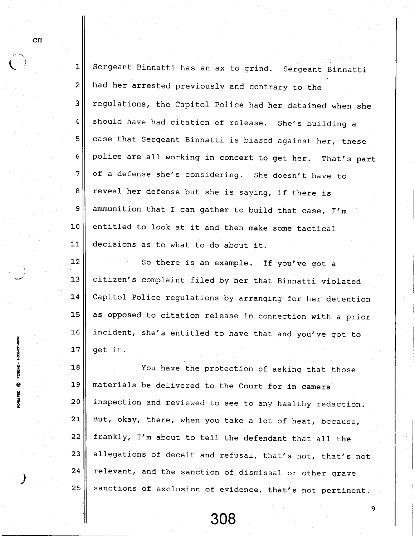$\bigcup$  ' 1 2 3 4 5 6 7 I 9 1 0  $11$  $12$ sergeant Binnatti has an ax to grind. Sergeant Binnatti had her arrested previously and contrary to the regulations, the Capitol Police had her detained when she should have had citation of release. She's building a case that Sergeant Binnatti is biased against her, these police are all working in coneert to get her. That's part of a defense she's considering. She doesn't have to reveal her defense but she is saying, if there is ammunition that I can gather to build that case, I'm entitled to look at it and then make some tactica decisions as to what to do about it. So there is an example. If you've got a

r\_3 L4 15  $16$ 17 citizen's complaint filed by her that Binnatti violated Capitol Police regulations by arranging for her detention as opposed to citation release in connection with a prior incident, she's entitled to have that and you've got to get it.

1 8 1 9 2 0  $21$  $22$ 23 24 2 5 You have the protection of asking that those materials be delivered to the Court for in camera inspection and reviewed to see to any healthy redaction. But, okay, there, when you take a lot of heat, because, frankly, I'm about to tell the defendant that all the allegations of deceit and refusal, that's not, that's not relevant, and the sanction of dismissal or other grave sanctions of exclusion of evidence, that's not pertinent.

308

9

cm

 $i \geq 1$ 

I ; I g

? 9E A e

> : န္

> > )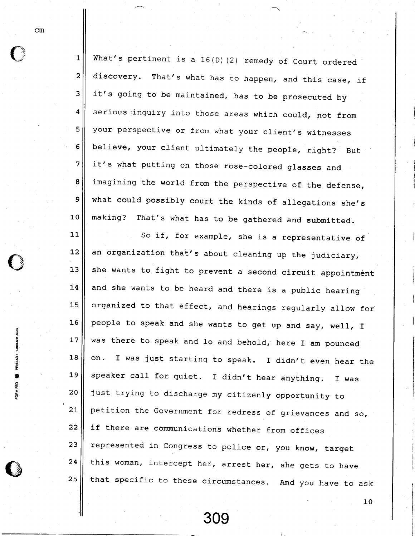1\_ 2 3 4 5 6 7 8 9 10 What's pertinent is a 16(D) (2) remedy of Court ordered discovery. That's what has to happen, and this case, if it's going to be maintained, has to be prosecuted by serious inquiry into those areas which could, not from your perspective or from what your client's witnesses believe, your client ultimately the people, right? But it's what putting on those rose-colored glasses and imagining the world from the perspective of the defense, what could possibly court the kinds of allegations she's making? That's what has to be gathered and submitted.

 $11$  $12$  $13$ 14 15 16 17 1 8 1 9 2 0  $21$  $22 \,$ 23 24 25 So if, for example, she is a representative of an organization that's about cleaning up the judiciary, she wants to fight to prevent a second circuit appointment and she wants to be heard and there is a public hearing organized to that effect, and hearings regularly allow for people to speak and she wants to get up and say, well, f was there to speak and lo and behold, here I am pounced on. I was just starting to speak. I didn't even hear the speaker call for quiet. I didn't hear anything. I was just trying to discharge my citizenly opportunity to petition the Government for redress of grievances and so, if there are communications whether from offices represented in Congress to police or, you know, target this woman, intercept her, arrest her, she gets to have that specific to these circumstances. And you have to ask

30S

 $\mathbf{10}$ 

cm

6 ? 2 U e FORM FED

U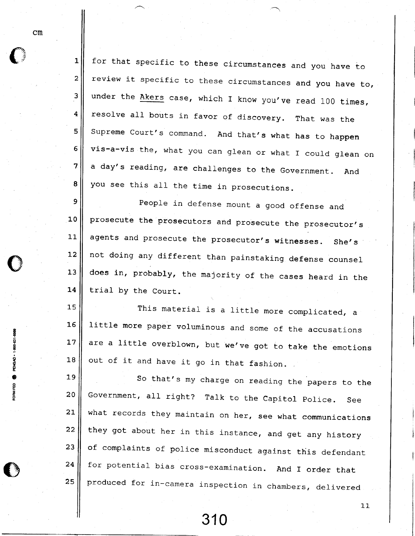1 z 3 4 5 5 7 8 for that specific to these circumstanees and you have to review it specific to these circumstances and you have to, under the  $\frac{\text{Akers}}{\text{Akers}}$  case, which I know you've read 100 times, resolve all bouts in favor of discovery. That was the Supreme Court's command. And that's what has to happen vis-a-vis the, what you can glean or what I could glean on a day's reading, are challenges to the Government. And you see this all the time in prosecutions.

9 1 0  $11$  $12$ 1 3 14 People in defense mount a good offense and prosecute the prosecutors and prosecute the prosecutor's agents and prosecute the prosecutor's witnesses. She's not doing any different than painstaking defense counsel\_ does in, probably, the majority of the cases heard in the trial by the Court.

**15** 16 17 1 8 This material is a little more complicated, a littIe more paper voluminous and some of the accusations are a little overblown, but we've got to take the emotions out of it and have it go in that fashion.

19 2 0  $21$  $22$ 23 24 25 So that's my charge on reading the papers to the Government, all right? Talk to the Capitol Police. See what records they maintain on her, see what communications they got about her in this instance, and get any history of complaints of police misconduct against this defendant for potential bias cross-examination. And I order that produced for in-camera inspection in chambers, delivered

310

11

cm

t :

5

enonia<br>E

e e = o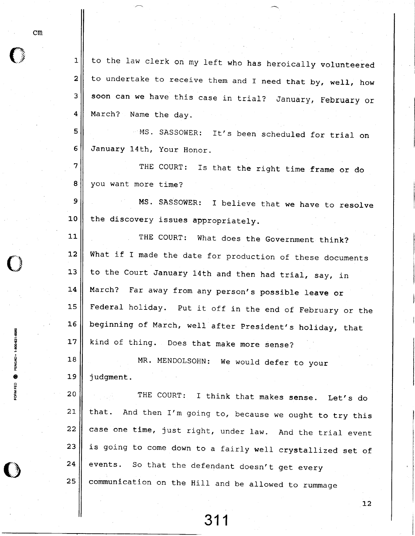8 d o o z

o

FORM FED

1 2 3 4 to the law clerk on my left who has heroically volunteered to undertake to receive them and I need that by, well, how soon can we have this case in trial? January, February or March? Name the dav.

5 ... MS. SASSOWER: It's been scheduled for trial on January 14th, your Honor.

THE COURT: Is that the right time frame or do you want more time?

MS. SASSOWER: I believe that we have to resolve the discovery issues appropriately.

THE COURT: What does the Government think? What if I made the date for production of these documents to the Court January 14th and then had trial, say, in March? Far away from any person's possible leave or Federal holiday. Put it off in the end of February or the beginning of March, well after President's holiday, that kind of thing. Does that make more sense?

1 8 19 MR. MENDOLSOHN: We would defer to your judgment.

2 0 21,  $22$ 23 24 25 THE COURT: I think that makes sense. Let's do that. And then I'm going to, because we ought to try this case one time, just right, under law. And the trial event is going to come down to a fairly well crystallized set of events. So that the defendant doesn't get every communication on the Hill and be allowed to rummage

31 1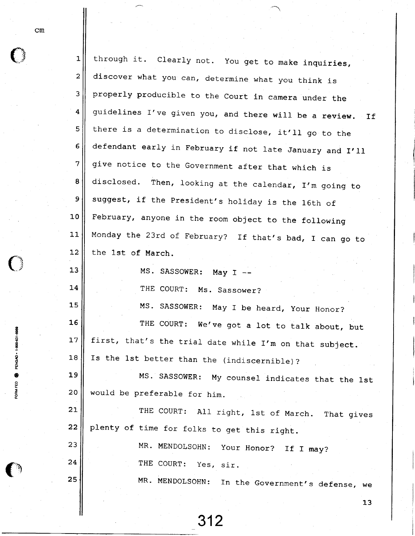| I<br>۰.<br>$\sim$ |  |  |
|-------------------|--|--|
|                   |  |  |

 $\bf C$ 

t ? ទ្ទិ 6

 $\bf C$ 

PENG**X** 

e o

Ē

| $\mathbf 1$  | through it. Clearly not. You get to make inquiries,       |
|--------------|-----------------------------------------------------------|
| $\mathbf{2}$ | discover what you can, determine what you think is        |
| 3            | properly producible to the Court in camera under the      |
| 4            | guidelines I've given you, and there will be a review. If |
| 5            | there is a determination to disclose, it'll go to the     |
| 6            | defendant early in February if not late January and I'll  |
| 7            | give notice to the Government after that which is         |
| 8            | disclosed. Then, looking at the calendar, I'm going to    |
| $\mathsf 9$  | suggest, if the President's holiday is the 16th of        |
| 10           | February, anyone in the room object to the following      |
| 11           | Monday the 23rd of February? If that's bad, I can go to   |
| 12           | the 1st of March.                                         |
| 13           | MS. SASSOWER: May I --                                    |
| 14           | THE COURT: Ms. Sassower?                                  |
| 15           | MS. SASSOWER: May I be heard, Your Honor?                 |
| 16           | THE COURT: We've got a lot to talk about, but             |
| 17           | first, that's the trial date while I'm on that subject.   |
| 18           | Is the 1st better than the (indiscernible)?               |
| 19           | MS. SASSOWER: My counsel indicates that the 1st           |
| 20           | would be preferable for him.                              |
| 21           | THE COURT: All right, 1st of March. That gives            |
| 22           | plenty of time for folks to get this right.               |
| 23           | MR. MENDOLSOHN: Your Honor? If I may?                     |
| 24           | THE COURT: Yes, sir.                                      |
| 25           | MR. MENDOLSOHN:<br>In the Government's defense, we        |
|              | 13                                                        |
|              |                                                           |

312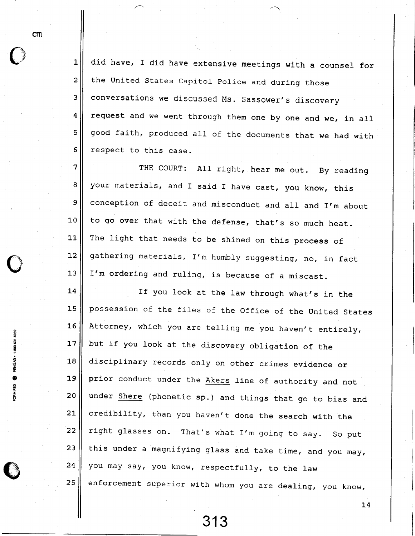L 2 3 4 5 6 did have, I did have extensive meetings with a counsel for the United States Capitol Police and during those conversations we discussed Ms. Sassower's discovery request and we went through them one by one and we, in all good faith, produced all of the documents that we had with respect to this case

7 8 9 1 0 Lt-I 2 13 THE COURT: All right, hear me out. By reading your materials, and I said I have cast, you know, this conception of deceit and misconduct and all and I'm about to go over that with the defense, that's so much heat. The light that needs to be shined on this process of gathering materials, I'm humbly suggesting, no, in fact I'm ordering and ruling, is because of a miscast.

L4 15 1 6 **17** 18 19 2 0 21  $22$ 23 24 2 5 If you look at the Iaw through what's in the possession of the files of the Office of the United States Attorney, which you are telling me you haven't entirely, but if you look at the discovery obligation of the disciplinary records only on other crimes evidence or prior conduct under the Akers line of authority and not under Shere (phonetic sp.) and things that go to bias and credibility, than you haven't done the search with the right glasses on. That's what I'm going to say. So put this under a magnifying glass and take time, and you may, you may say, you know, respectfully, to the law enforcement superior with whom you are dealing, you know,

em

I

6 .<br>≌

e

FORM FED

313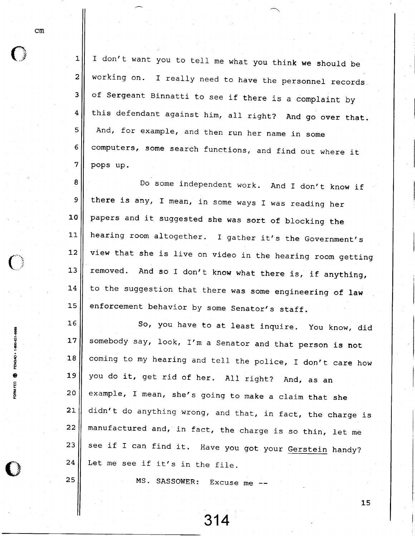1 2 3 4 5 6 7 I don't want you to tell me what you think we should be working on. I really need to have the personnel records of Sergeant Binnatti to see if there is a complaint by this defendant against him, all right? And go over that. And, for example, and then run her name in some computers, some search functions, and find out where it pops up.

8 9 1 0  $11$ 1\_2  $13$ 14 1 5 Do some independent work. And I don't know if there is any, I mean, in some ways I was reading her papers and it suggested she was sort of blocking the hearing room altogether. I gather it's the Government's view that she is live on video in the hearing room getting removed. And so I don't know what there is, if anything, to the suggestion that there was some engineering of law enforcement behavior by some Senator's staff.

16 **17** 18 19  $20$  $21$  $22 \overline{ }$ 23 24 So, you have to at least inquire. you know, did somebody say, look, I'm a Senator and that person is not coming to my hearing and tell the police, I don't care how you do it, get rid of her. All right? And, as an example, I mean, she's going to make a claim that she didn't do anything wrong, and that, in fact, the charge is manufactured and, in fact, the charge is so thin, let me see if I can find it. Have you got your <u>Gerstein</u> handy? Let me see if it's in the file.

MS. SASSOWER: Excuse me --

314

cm

- ? ž e o E o

I

 $\bigcirc$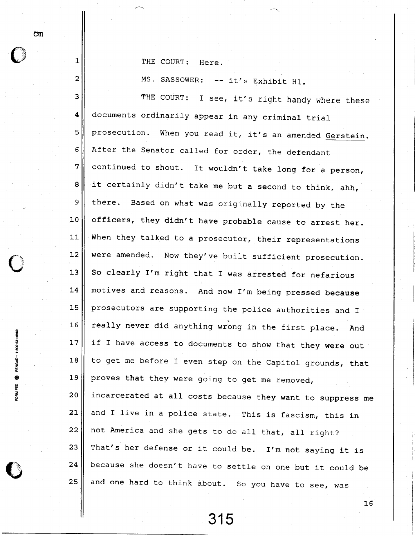THE COURT: Here.

MS. SASSOWER: -- it's Exhibit H1.

3 4 5  $6\overline{6}$ 7 8 9 1 0 11  $12$ 13 14 t\_5 16 17 1 8 1 9 2 0 21 22 2 3 24 2 5 THE COURT: I see, it's right handy where these documents ordinarily appear in any criminal trial prosecution. When you read it, it's an amended Gerstein. After the Senator called for order, the defendant continued to shout. It wouldn't take long for a person, it certainly didn't take me but a second to think, ahh, there. Based on what was originally reported by the officers, they didn't have probable eause to arrest her. When they talked to a prosecutor, their representations were amended. Now they've built sufficient prosecution. So clearly I'm right that I was arrested for nefarious motives and reasons. And now I'm being pressed because prosecutors are supporting the police authorities and I really never did anything wrong in the first place. And if I have access to documents to show that they were out to get me before I even step on the Capitol grounds, that proves that they were going to get me removed, incarcerated at all costs because they want to suppress me and I live in a police state. This is fascism, this in not America and she gets to do all that, all right? That's her defense or it could be. I'm not saying it is because she doesn't have to settle on one but it could be and one hard to think about So you have to see, was

315

16

em

l-

z

d E Ī o z u 4 o

š

C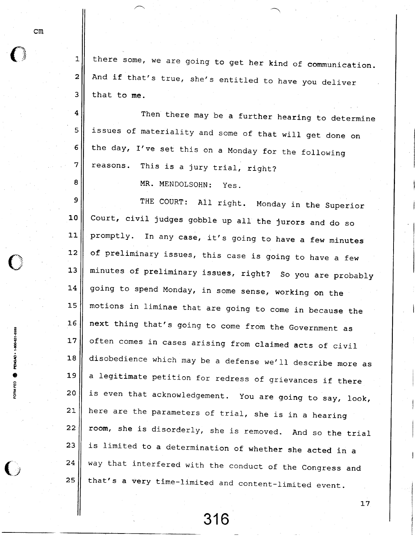$\mathbf{1}$ 

2

3

4

5

5

'7

8

there some, we are going to get her kind of communication And if that's true, she's entitled to have you delive that to me.

Then there may be a further hearing to determin issues of materiality and some of that will get done on the day, I've set this on a Monday for the followin reasons. This is a jury trial, right?

MR. MENDOLSOHN: yes.

9 1 0 11\_  $12$  $13$ 14 15 1 6  $17$ 18 19 2 0  $21$ 22 23 24 25 THE COURT: All right. Monday in the Superior Court, civil judges gobble up all the jurors and do so promptly. In any case, it's going to have a few minutes of preliminary issues, this case is going to have a few minutes of preliminary issues, right? So you are probably going to spend Monday, in some sense, working on the motions in liminae that are going to come in because the next thing that's going to come from the Government as often comes in cases arising from claimed acts of civil disobedience which may be a defense we'll describe more as a legitimate petition for redress of grievances if there is even that acknowledgement. You are going to say, look, here are the parameters of trial, she is in a hearing room, she is disorderly, she is removed. And so the trial is limited to a determination of whether she acted in a way that interfered with the conduct of the congress and that's a very time-limited and content-limited event.

316

17

B I I

PENGAL o

FORM FED

 $\blacksquare$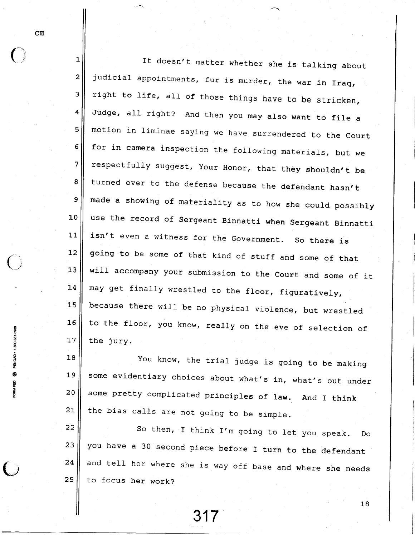$\mathcal{C} \neq \mathcal{C}$ 2 3 4 5 6 7 8 9 1 0 11  $\bigcirc$  and  $\bigcirc$   $\frac{12}{12}$ 13 14 15 l\_5 17 It doesn't matter whether she is talking about judicial appointments, fur is murder, the war in Iraq, right to life, all of those things have to be stricken, Judge, all right? And then you may also want to file a motion in liminae saying we have surrendered to the court for in camera inspection the following materials, but we respectfully suggest, your Honor, that they shouldn't be turned over to the defense because the defendant hasn't made a showing of materiality as to how she could possibly use the record of sergeant Binnatti when sergeant Binnatti isn't even a witness for the Government. So there is going to be some of that kind of stuff and some of that will accompany your submission to the Court and some of it may get finally wrestled to the floor, figuratively, because there will be no physical violence, but wrestled to the floor, you know, really on the eve of selection of the jury.

> 18 19 2 0  $21$ You know, the trial judge is going to be making some evidentiary choices about what's in, what's out under some pretty complicated principles of law. And I think the bias calls are not going to be simple.

> 22 2 3 24 2 5 So then, I think I'm going to let you speak. Do you have a 30 second piece before I turn to the defendan and tel1 her where she is way off base and where she needs to focus her work?

**P**<br>ENGY o o H : o

317

1\_8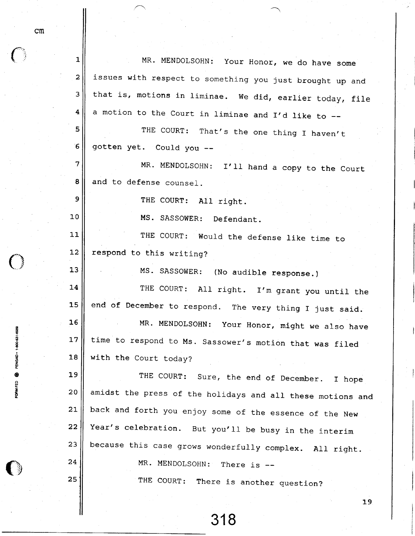| 1           | MR. MENDOLSOHN: Your Honor, we do have some                |
|-------------|------------------------------------------------------------|
| 2           | issues with respect to something you just brought up and   |
| 3           | that is, motions in liminae. We did, earlier today, file   |
| 4           | a motion to the Court in liminae and I'd like to --        |
| 5           | THE COURT: That's the one thing I haven't                  |
| $6^{\circ}$ | gotten yet. Could you --                                   |
| 7           | MR. MENDOLSOHN: I'll hand a copy to the Court              |
| 8           | and to defense counsel.                                    |
| 9           | THE COURT: All right.                                      |
| 10          | MS. SASSOWER: Defendant.                                   |
| $11$        | THE COURT: Would the defense like time to                  |
| 12          | respond to this writing?                                   |
| 13          | MS. SASSOWER: (No audible response.)                       |
| 14          | THE COURT: All right. I'm grant you until the              |
| 15          | end of December to respond. The very thing I just said.    |
| 16          | MR. MENDOLSOHN: Your Honor, might we also have             |
| 17          | time to respond to Ms. Sassower's motion that was filed    |
| 18          | with the Court today?                                      |
| 19          | THE COURT: Sure, the end of December.<br>I hope            |
| 20          | amidst the press of the holidays and all these motions and |
| 21          | back and forth you enjoy some of the essence of the New    |
| 22          | Year's celebration. But you'll be busy in the interim      |
| 23          | because this case grows wonderfully complex. All right.    |
| 24          | MR. MENDOLSOHN: There is --                                |
| 25          | THE COURT: There is another question?                      |

1 9

cm

 $\bar{\bar{\mathbf{3}}}$ a

Q o z U

o o

i<br>E<br>E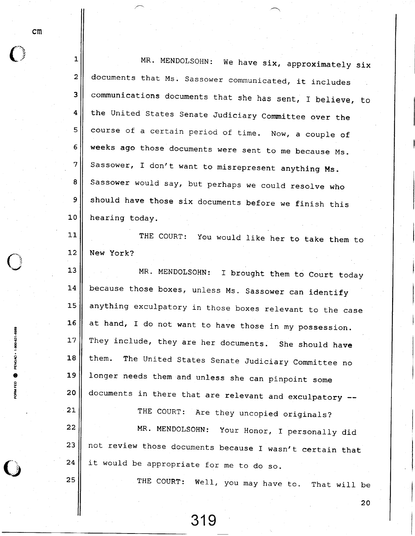$\overline{O}$ 

i U

o z H e

e

21

25

| 1                       |                                                           |
|-------------------------|-----------------------------------------------------------|
|                         | MR. MENDOLSOHN: We have six, approximately six            |
| $\overline{c}$          | documents that Ms. Sassower communicated, it includes     |
| $\overline{\mathbf{3}}$ | communications documents that she has sent, I believe, to |
| $\overline{4}$          | the United States Senate Judiciary Committee over the     |
| 5                       | course of a certain period of time. Now, a couple of      |
| 6                       | weeks ago those documents were sent to me because Ms.     |
| 7                       | Sassower, I don't want to misrepresent anything Ms.       |
| 8                       | Sassower would say, but perhaps we could resolve who      |
| 9                       | should have those six documents before we finish this     |
| 10                      | hearing today.                                            |
| 11                      | THE COURT: You would like her to take them to             |
| 12                      | New York?                                                 |
| 13                      | MR. MENDOLSOHN:<br>I brought them to Court today          |
| 14                      | because those boxes, unless Ms. Sassower can identify     |
| 15                      | anything exculpatory in those boxes relevant to the case  |
| 16                      | at hand, I do not want to have those in my possession     |

17 1 8 19 2 0 at hand, I do not want to have those in my possession They include, they are her documents. She should have them. The united states Senate Judiciary committee no longer needs them and unless she can pinpoint some documents in there that are relevant and exculpatory --

22 2 3 24 THE COURT: Are they uncopied originals? MR. MENDOLSOHN: Your Honor, I personally did not review those documents because I wasn't certain that it would be appropriate for me to do so.

319

THE COURT: Well, you may have to. That will be